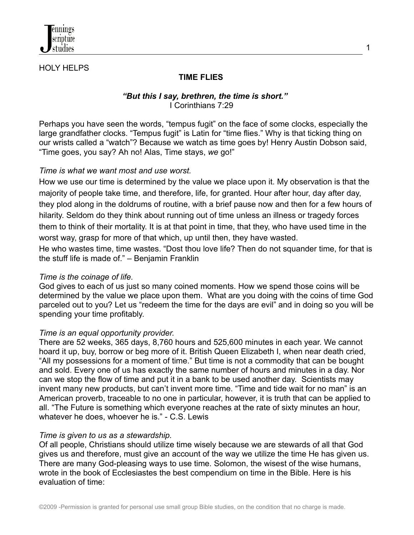

# HOLY HELPS

# **TIME FLIES**

## *"But this I say, brethren, the time is short."* I Corinthians 7:29

1

Perhaps you have seen the words, "tempus fugit" on the face of some clocks, especially the large grandfather clocks. "Tempus fugit" is Latin for "time flies." Why is that ticking thing on our wrists called a "watch"? Because we watch as time goes by! Henry Austin Dobson said, "Time goes, you say? Ah no! Alas, Time stays, *we* go!"

## *Time is what we want most and use worst.*

How we use our time is determined by the value we place upon it. My observation is that the majority of people take time, and therefore, life, for granted. Hour after hour, day after day, they plod along in the doldrums of routine, with a brief pause now and then for a few hours of hilarity. Seldom do they think about running out of time unless an illness or tragedy forces them to think of their mortality. It is at that point in time, that they, who have used time in the worst way, grasp for more of that which, up until then, they have wasted.

He who wastes time, time wastes. "Dost thou love life? Then do not squander time, for that is the stuff life is made of." – Benjamin Franklin

## *Time is the coinage of life.*

God gives to each of us just so many coined moments. How we spend those coins will be determined by the value we place upon them. What are you doing with the coins of time God parceled out to you? Let us "redeem the time for the days are evil" and in doing so you will be spending your time profitably.

## *Time is an equal opportunity provider.*

There are 52 weeks, 365 days, 8,760 hours and 525,600 minutes in each year. We cannot hoard it up, buy, borrow or beg more of it. British Queen Elizabeth I, when near death cried, "All my possessions for a moment of time." But time is not a commodity that can be bought and sold. Every one of us has exactly the same number of hours and minutes in a day. Nor can we stop the flow of time and put it in a bank to be used another day. Scientists may invent many new products, but can't invent more time. "Time and tide wait for no man" is an American proverb, traceable to no one in particular, however, it is truth that can be applied to all. "The Future is something which everyone reaches at the rate of sixty minutes an hour, whatever he does, whoever he is." - C.S. Lewis

## *Time is given to us as a stewardship.*

Of all people, Christians should utilize time wisely because we are stewards of all that God gives us and therefore, must give an account of the way we utilize the time He has given us. There are many God-pleasing ways to use time. Solomon, the wisest of the wise humans, wrote in the book of Ecclesiastes the best compendium on time in the Bible. Here is his evaluation of time: